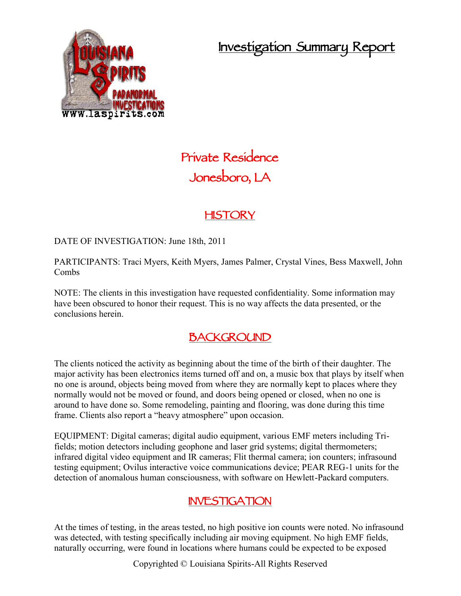**Investigation Summary Report**



# **Private Residence Jonesboro, LA**

# **HISTORY**

DATE OF INVESTIGATION: June 18th, 2011

PARTICIPANTS: Traci Myers, Keith Myers, James Palmer, Crystal Vines, Bess Maxwell, John Combs

NOTE: The clients in this investigation have requested confidentiality. Some information may have been obscured to honor their request. This is no way affects the data presented, or the conclusions herein.

### **BACKGROUND**

The clients noticed the activity as beginning about the time of the birth of their daughter. The major activity has been electronics items turned off and on, a music box that plays by itself when no one is around, objects being moved from where they are normally kept to places where they normally would not be moved or found, and doors being opened or closed, when no one is around to have done so. Some remodeling, painting and flooring, was done during this time frame. Clients also report a "heavy atmosphere" upon occasion.

EQUIPMENT: Digital cameras; digital audio equipment, various EMF meters including Trifields; motion detectors including geophone and laser grid systems; digital thermometers; infrared digital video equipment and IR cameras; Flit thermal camera; ion counters; infrasound testing equipment; Ovilus interactive voice communications device; PEAR REG-1 units for the detection of anomalous human consciousness, with software on Hewlett-Packard computers.

### **INVESTIGATION**

At the times of testing, in the areas tested, no high positive ion counts were noted. No infrasound was detected, with testing specifically including air moving equipment. No high EMF fields, naturally occurring, were found in locations where humans could be expected to be exposed

Copyrighted © Louisiana Spirits-All Rights Reserved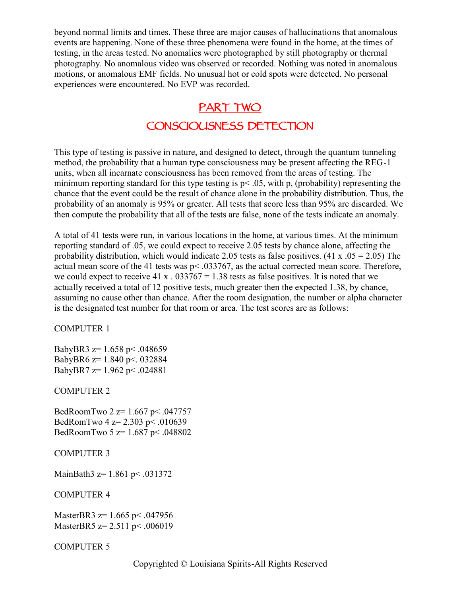beyond normal limits and times. These three are major causes of hallucinations that anomalous events are happening. None of these three phenomena were found in the home, at the times of testing, in the areas tested. No anomalies were photographed by still photography or thermal photography. No anomalous video was observed or recorded. Nothing was noted in anomalous motions, or anomalous EMF fields. No unusual hot or cold spots were detected. No personal experiences were encountered. No EVP was recorded.

# **PART TWO CONSCIOUSNESS DETECTION**

This type of testing is passive in nature, and designed to detect, through the quantum tunneling method, the probability that a human type consciousness may be present affecting the REG-1 units, when all incarnate consciousness has been removed from the areas of testing. The minimum reporting standard for this type testing is  $p < .05$ , with p, (probability) representing the chance that the event could be the result of chance alone in the probability distribution. Thus, the probability of an anomaly is 95% or greater. All tests that score less than 95% are discarded. We then compute the probability that all of the tests are false, none of the tests indicate an anomaly.

A total of 41 tests were run, in various locations in the home, at various times. At the minimum reporting standard of .05, we could expect to receive 2.05 tests by chance alone, affecting the probability distribution, which would indicate 2.05 tests as false positives. (41 x  $.05 = 2.05$ ) The actual mean score of the 41 tests was p< .033767, as the actual corrected mean score. Therefore, we could expect to receive 41 x  $.033767 = 1.38$  tests as false positives. It is noted that we actually received a total of 12 positive tests, much greater then the expected 1.38, by chance, assuming no cause other than chance. After the room designation, the number or alpha character is the designated test number for that room or area. The test scores are as follows:

COMPUTER 1

BabyBR3  $z=1.658$  p < .048659 BabyBR6 z= 1.840 p<. 032884 BabyBR7 z= 1.962 p< .024881

COMPUTER 2

BedRoomTwo 2 z= 1.667 p< .047757 BedRomTwo 4 z= 2.303 p< .010639 BedRoomTwo 5 z= 1.687 p< .048802

COMPUTER 3

MainBath3 z= 1.861 p< .031372

COMPUTER 4

MasterBR3 z= 1.665 p< .047956 MasterBR5 z= 2.511 p < .006019

COMPUTER 5